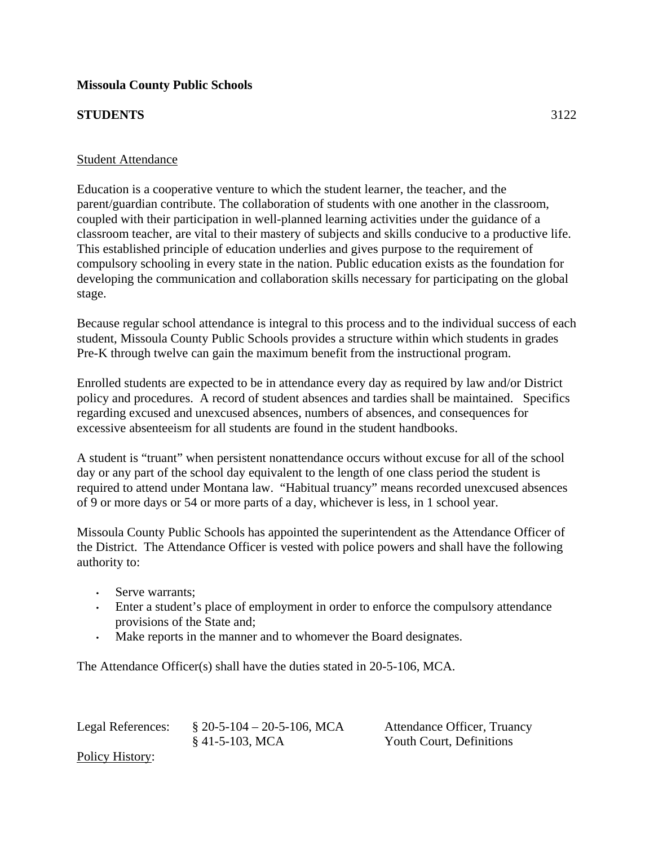## **Missoula County Public Schools**

## **STUDENTS** 3122

## Student Attendance

Education is a cooperative venture to which the student learner, the teacher, and the parent/guardian contribute. The collaboration of students with one another in the classroom, coupled with their participation in well-planned learning activities under the guidance of a classroom teacher, are vital to their mastery of subjects and skills conducive to a productive life. This established principle of education underlies and gives purpose to the requirement of compulsory schooling in every state in the nation. Public education exists as the foundation for developing the communication and collaboration skills necessary for participating on the global stage.

Because regular school attendance is integral to this process and to the individual success of each student, Missoula County Public Schools provides a structure within which students in grades Pre-K through twelve can gain the maximum benefit from the instructional program.

Enrolled students are expected to be in attendance every day as required by law and/or District policy and procedures. A record of student absences and tardies shall be maintained. Specifics regarding excused and unexcused absences, numbers of absences, and consequences for excessive absenteeism for all students are found in the student handbooks.

A student is "truant" when persistent nonattendance occurs without excuse for all of the school day or any part of the school day equivalent to the length of one class period the student is required to attend under Montana law. "Habitual truancy" means recorded unexcused absences of 9 or more days or 54 or more parts of a day, whichever is less, in 1 school year.

Missoula County Public Schools has appointed the superintendent as the Attendance Officer of the District. The Attendance Officer is vested with police powers and shall have the following authority to:

- Serve warrants;
- Enter a student's place of employment in order to enforce the compulsory attendance provisions of the State and;
- Make reports in the manner and to whomever the Board designates.

The Attendance Officer(s) shall have the duties stated in 20-5-106, MCA.

Legal References: § 20-5-104 – 20-5-106, MCA Attendance Officer, Truancy § 41-5-103, MCA Youth Court, Definitions Policy History: